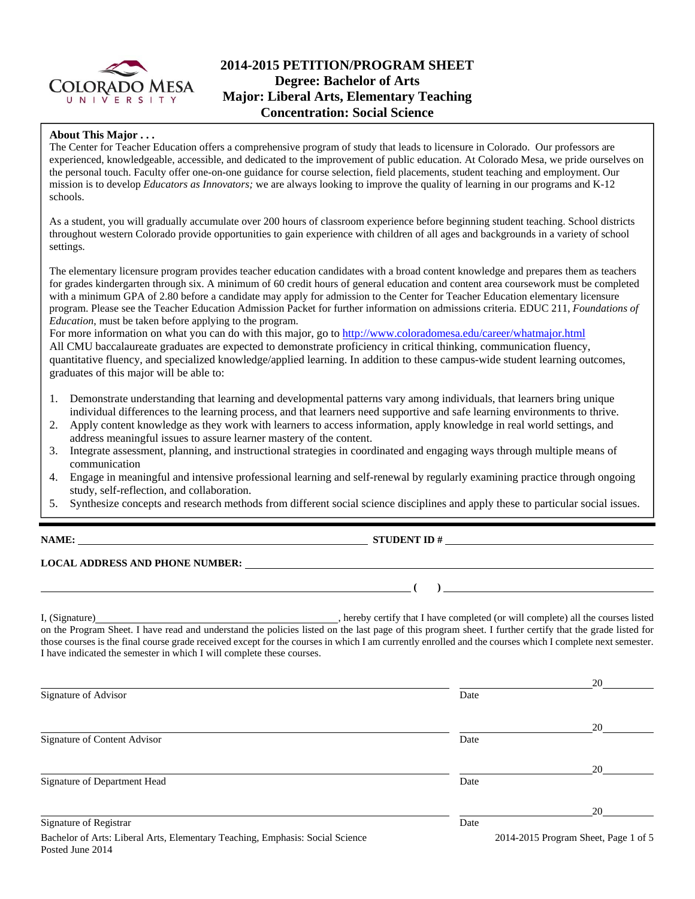

# **2014-2015 PETITION/PROGRAM SHEET Degree: Bachelor of Arts Major: Liberal Arts, Elementary Teaching Concentration: Social Science**

## **About This Major . . .**

**www**  The Center for Teacher Education offers a comprehensive program of study that leads to licensure in Colorado. Our professors are experienced, knowledgeable, accessible, and dedicated to the improvement of public education. At Colorado Mesa, we pride ourselves on the personal touch. Faculty offer one-on-one guidance for course selection, field placements, student teaching and employment. Our mission is to develop *Educators as Innovators;* we are always looking to improve the quality of learning in our programs and K-12 schools.

As a student, you will gradually accumulate over 200 hours of classroom experience before beginning student teaching. School districts throughout western Colorado provide opportunities to gain experience with children of all ages and backgrounds in a variety of school settings.

The elementary licensure program provides teacher education candidates with a broad content knowledge and prepares them as teachers for grades kindergarten through six. A minimum of 60 credit hours of general education and content area coursework must be completed with a minimum GPA of 2.80 before a candidate may apply for admission to the Center for Teacher Education elementary licensure program. Please see the Teacher Education Admission Packet for further information on admissions criteria. EDUC 211, *Foundations of Education*, must be taken before applying to the program.

For more information on what you can do with this major, go to http://www.coloradomesa.edu/career/whatmajor.html All CMU baccalaureate graduates are expected to demonstrate proficiency in critical thinking, communication fluency, quantitative fluency, and specialized knowledge/applied learning. In addition to these campus-wide student learning outcomes, graduates of this major will be able to:

- 1. Demonstrate understanding that learning and developmental patterns vary among individuals, that learners bring unique individual differences to the learning process, and that learners need supportive and safe learning environments to thrive.
- 2. Apply content knowledge as they work with learners to access information, apply knowledge in real world settings, and address meaningful issues to assure learner mastery of the content.
- 3. Integrate assessment, planning, and instructional strategies in coordinated and engaging ways through multiple means of communication
- 4. Engage in meaningful and intensive professional learning and self-renewal by regularly examining practice through ongoing study, self-reflection, and collaboration.
- 5. Synthesize concepts and research methods from different social science disciplines and apply these to particular social issues.

**NAME: STUDENT ID #** 

 **(** ) <u> **(** ) **d**</u>

## **LOCAL ADDRESS AND PHONE NUMBER:**

I, (Signature) **Source 2020** (3) the completed (or will complete) all the courses listed on the Program Sheet. I have read and understand the policies listed on the last page of this program sheet. I further certify that the grade listed for those courses is the final course grade received except for the courses in which I am currently enrolled and the courses which I complete next semester. I have indicated the semester in which I will complete these courses.

|                                                                                                   |      | 20                                   |
|---------------------------------------------------------------------------------------------------|------|--------------------------------------|
| Signature of Advisor                                                                              | Date |                                      |
|                                                                                                   |      | 20                                   |
| Signature of Content Advisor                                                                      | Date |                                      |
|                                                                                                   |      | 20                                   |
| Signature of Department Head                                                                      | Date |                                      |
|                                                                                                   |      | 20                                   |
| Signature of Registrar                                                                            | Date |                                      |
| Bachelor of Arts: Liberal Arts, Elementary Teaching, Emphasis: Social Science<br>Posted June 2014 |      | 2014-2015 Program Sheet, Page 1 of 5 |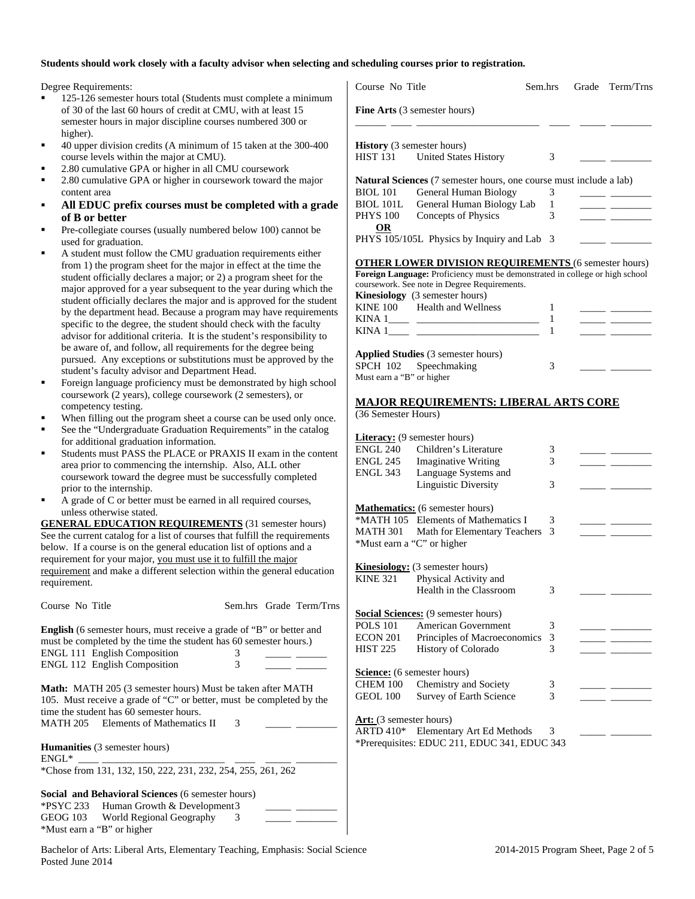#### **Students should work closely with a faculty advisor when selecting and scheduling courses prior to registration.**

Degree Requirements:

- 125-126 semester hours total (Students must complete a minimum of 30 of the last 60 hours of credit at CMU, with at least 15 semester hours in major discipline courses numbered 300 or higher).
- 40 upper division credits (A minimum of 15 taken at the 300-400 course levels within the major at CMU).
- 2.80 cumulative GPA or higher in all CMU coursework
- 2.80 cumulative GPA or higher in coursework toward the major content area
- **All EDUC prefix courses must be completed with a grade of B or better**
- Pre-collegiate courses (usually numbered below 100) cannot be used for graduation.
- A student must follow the CMU graduation requirements either from 1) the program sheet for the major in effect at the time the student officially declares a major; or 2) a program sheet for the major approved for a year subsequent to the year during which the student officially declares the major and is approved for the studen by the department head. Because a program may have requirement specific to the degree, the student should check with the faculty advisor for additional criteria. It is the student's responsibility to be aware of, and follow, all requirements for the degree being pursued. Any exceptions or substitutions must be approved by the student's faculty advisor and Department Head.
- Foreign language proficiency must be demonstrated by high school coursework (2 years), college coursework (2 semesters), or competency testing.
- When filling out the program sheet a course can be used only once.
- See the "Undergraduate Graduation Requirements" in the catalog for additional graduation information.
- Students must PASS the PLACE or PRAXIS II exam in the content area prior to commencing the internship. Also, ALL other coursework toward the degree must be successfully completed prior to the internship.
- A grade of C or better must be earned in all required courses, unless otherwise stated.

**GENERAL EDUCATION REQUIREMENTS** (31 semester hours) See the current catalog for a list of courses that fulfill the requirements below. If a course is on the general education list of options and a requirement for your major, you must use it to fulfill the major requirement and make a different selection within the general education requirement.

| Course No Title                                                                                                                                                                                                                  |   |  | Sem.hrs Grade Term/Trns |  |  |  |
|----------------------------------------------------------------------------------------------------------------------------------------------------------------------------------------------------------------------------------|---|--|-------------------------|--|--|--|
| <b>English</b> (6 semester hours, must receive a grade of "B" or better and<br>must be completed by the time the student has 60 semester hours.)                                                                                 |   |  |                         |  |  |  |
| <b>ENGL 111 English Composition</b>                                                                                                                                                                                              | 3 |  |                         |  |  |  |
| <b>ENGL 112 English Composition</b>                                                                                                                                                                                              | 3 |  |                         |  |  |  |
| <b>Math:</b> MATH 205 (3 semester hours) Must be taken after MATH<br>105. Must receive a grade of "C" or better, must be completed by the<br>time the student has 60 semester hours.<br>MATH 205 Elements of Mathematics II<br>3 |   |  |                         |  |  |  |
| <b>Humanities</b> (3 semester hours)<br>$ENGL^*$                                                                                                                                                                                 |   |  |                         |  |  |  |
| *Chose from 131, 132, 150, 222, 231, 232, 254, 255, 261, 262                                                                                                                                                                     |   |  |                         |  |  |  |

**Social and Behavioral Sciences** (6 semester hours) \*PSYC 233 Human Growth & Development 3 \_\_\_\_\_ \_\_\_\_\_\_\_\_ GEOG 103 World Regional Geography 3 \*Must earn a "B" or higher

|                                                                      | Course No Title                                                              | Sem.hrs      | Grade | Term/Trns                                             |
|----------------------------------------------------------------------|------------------------------------------------------------------------------|--------------|-------|-------------------------------------------------------|
|                                                                      | Fine Arts (3 semester hours)                                                 |              |       |                                                       |
|                                                                      | <b>History</b> (3 semester hours)                                            |              |       |                                                       |
|                                                                      | HIST 131 United States History                                               | 3            |       |                                                       |
|                                                                      | <b>Natural Sciences</b> (7 semester hours, one course must include a lab)    |              |       |                                                       |
| <b>BIOL</b> 101                                                      | <b>General Human Biology</b>                                                 | 3            |       |                                                       |
| BIOL 101L                                                            | General Human Biology Lab                                                    | 1            |       | <u> La Carlo Carlo I</u>                              |
| <b>PHYS 100</b>                                                      | Concepts of Physics                                                          | 3            |       | <u> 1989 - John Barn Barn, amerikansk politiker (</u> |
| <b>OR</b>                                                            | PHYS 105/105L Physics by Inquiry and Lab 3                                   |              |       |                                                       |
|                                                                      | <b>OTHER LOWER DIVISION REQUIREMENTS (6 semester hours)</b>                  |              |       |                                                       |
|                                                                      | Foreign Language: Proficiency must be demonstrated in college or high school |              |       |                                                       |
|                                                                      | coursework. See note in Degree Requirements.                                 |              |       |                                                       |
|                                                                      | Kinesiology (3 semester hours)                                               |              |       |                                                       |
|                                                                      | KINE 100 Health and Wellness                                                 | 1            |       |                                                       |
|                                                                      |                                                                              | $\mathbf{1}$ |       |                                                       |
|                                                                      |                                                                              | $\mathbf{1}$ |       |                                                       |
|                                                                      | Applied Studies (3 semester hours)                                           |              |       |                                                       |
| <b>SPCH 102</b>                                                      | Speechmaking                                                                 | 3            |       |                                                       |
| Must earn a "B" or higher                                            |                                                                              |              |       |                                                       |
|                                                                      |                                                                              |              |       |                                                       |
|                                                                      | <b>MAJOR REQUIREMENTS: LIBERAL ARTS CORE</b>                                 |              |       |                                                       |
| (36 Semester Hours)                                                  |                                                                              |              |       |                                                       |
|                                                                      |                                                                              |              |       |                                                       |
|                                                                      |                                                                              |              |       |                                                       |
|                                                                      | <b>Literacy:</b> (9 semester hours)                                          |              |       |                                                       |
|                                                                      | Children's Literature                                                        | 3<br>3       |       |                                                       |
| <b>ENGL 240</b><br><b>ENGL 245</b><br>ENGL 343                       | <b>Imaginative Writing</b>                                                   |              |       |                                                       |
|                                                                      | Language Systems and<br>Linguistic Diversity                                 | 3            |       |                                                       |
|                                                                      |                                                                              |              |       |                                                       |
|                                                                      | <b>Mathematics:</b> (6 semester hours)                                       |              |       |                                                       |
|                                                                      | *MATH 105 Elements of Mathematics I                                          | 3            |       | $\overline{\phantom{a}}$                              |
|                                                                      | MATH 301 Math for Elementary Teachers<br>*Must earn a "C" or higher          | 3            |       |                                                       |
|                                                                      |                                                                              |              |       |                                                       |
|                                                                      | <b>Kinesiology:</b> (3 semester hours)                                       |              |       |                                                       |
|                                                                      | KINE 321 Physical Activity and                                               |              |       |                                                       |
|                                                                      | Health in the Classroom                                                      | 3            |       |                                                       |
|                                                                      | Social Sciences: (9 semester hours)                                          |              |       |                                                       |
| <b>POLS 101</b>                                                      | <b>American Government</b>                                                   | 3            |       |                                                       |
| <b>ECON 201</b>                                                      | Principles of Macroeconomics                                                 | 3            |       |                                                       |
| <b>HIST 225</b>                                                      | History of Colorado                                                          | 3            |       |                                                       |
|                                                                      |                                                                              |              |       |                                                       |
|                                                                      | Science: (6 semester hours)                                                  |              |       |                                                       |
|                                                                      | Chemistry and Society<br>Survey of Earth Science                             | 3<br>3       |       |                                                       |
|                                                                      |                                                                              |              |       |                                                       |
| <b>CHEM 100</b><br><b>GEOL 100</b><br><b>Art:</b> (3 semester hours) |                                                                              |              |       |                                                       |
|                                                                      | Elementary Art Ed Methods                                                    | 3            |       |                                                       |
| <b>ARTD 410*</b>                                                     | *Prerequisites: EDUC 211, EDUC 341, EDUC 343                                 |              |       |                                                       |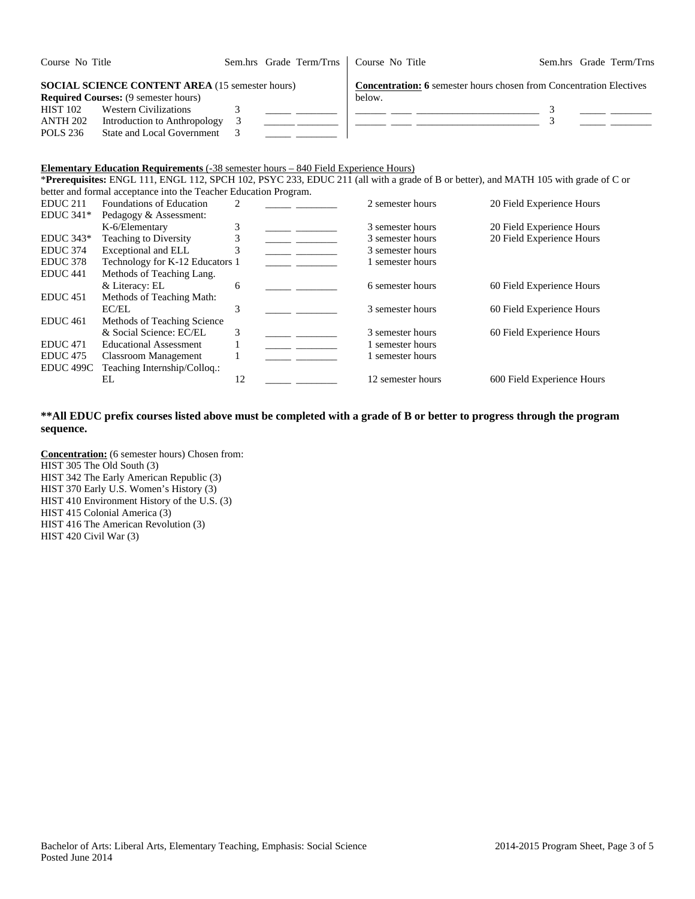| Course No Title                                                                                                                                                                                                                                              | Sem.hrs Grade Term/Trns   Course No Title |                                                                                      | Sem.hrs Grade Term/Trns |  |  |  |
|--------------------------------------------------------------------------------------------------------------------------------------------------------------------------------------------------------------------------------------------------------------|-------------------------------------------|--------------------------------------------------------------------------------------|-------------------------|--|--|--|
| <b>SOCIAL SCIENCE CONTENT AREA (15 semester hours)</b><br><b>Required Courses:</b> (9 semester hours)<br><b>HIST 102</b><br><b>Western Civilizations</b><br>ANTH 202<br>Introduction to Anthropology<br><b>State and Local Government</b><br><b>POLS 236</b> | 3                                         | <b>Concentration: 6</b> semester hours chosen from Concentration Electives<br>below. |                         |  |  |  |
| <b>Elementary Education Requirements (-38 semester hours <math>= 840</math> Field Experience Hours)</b>                                                                                                                                                      |                                           |                                                                                      |                         |  |  |  |

#### **Elementary Education Requirements** (-38 semester hours – 840 Field Experience Hours)

\***Prerequisites:** ENGL 111, ENGL 112, SPCH 102, PSYC 233, EDUC 211 (all with a grade of B or better), and MATH 105 with grade of C or better and formal acceptance into the Teacher Education Program. EDUC 211 Foundations of Education 2 2 semester hours 2 2 semester hours 20 Field Experience Hours EDUC 341\* Pedagogy & Assessment: K-6/Elementary 3 \_\_\_\_\_ \_\_\_\_\_\_\_\_ 3 semester hours 20 Field Experience Hours EDUC 343\* Teaching to Diversity 3 \_\_\_\_\_ \_\_\_\_\_\_\_\_\_ 3 semester hours 20 Field Experience Hours<br>EDUC 374 Exceptional and ELL 3 \_\_\_\_\_\_\_\_ 3 semester hours 3 semester hours EDUC 374 Exceptional and ELL 3 \_\_\_\_\_ \_\_\_\_\_\_\_\_ 3 semester hours EDUC 378 Technology for K-12 Educators 1 \_\_\_\_\_\_\_\_\_\_\_\_\_\_\_\_\_\_\_\_\_\_\_\_ 1 semester hours<br>EDUC 441 Methods of Teaching Lang. Methods of Teaching Lang. & Literacy: EL 6 \_\_\_\_\_ \_\_\_\_\_\_ 6 semester hours 60 Field Experience Hours EDUC 451 Methods of Teaching Math: EC/EL 3 \_\_\_\_\_ 3 semester hours 60 Field Experience Hours EDUC 461 Methods of Teaching Science & Social Science: EC/EL 3 \_\_\_\_\_ \_\_\_\_\_\_\_\_ 3 semester hours 60 Field Experience Hours EDUC 471 Educational Assessment 1 1 and 1 semester hours EDUC 475 Classroom Management 1 \_\_\_\_\_\_ \_\_\_\_\_\_\_ 1 semester hours EDUC 499C Teaching Internship/Colloq.: EL 12 \_\_\_\_\_ 12 semester hours 600 Field Experience Hours

## **\*\*All EDUC prefix courses listed above must be completed with a grade of B or better to progress through the program sequence.**

**Concentration:** (6 semester hours) Chosen from: HIST 305 The Old South (3) HIST 342 The Early American Republic (3) HIST 370 Early U.S. Women's History (3) HIST 410 Environment History of the U.S. (3) HIST 415 Colonial America (3) HIST 416 The American Revolution (3) HIST 420 Civil War (3)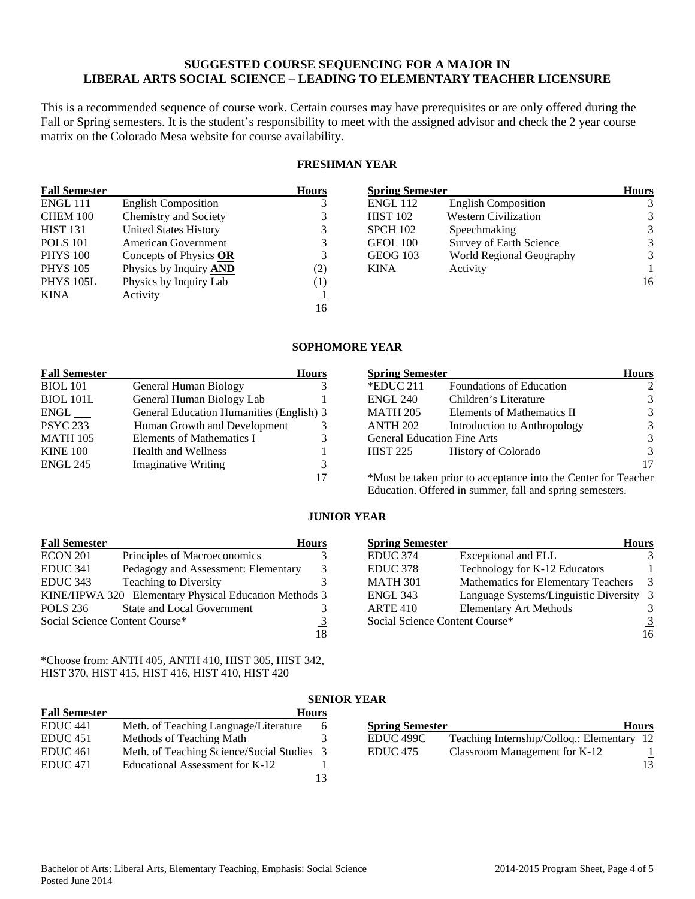# **SUGGESTED COURSE SEQUENCING FOR A MAJOR IN LIBERAL ARTS SOCIAL SCIENCE – LEADING TO ELEMENTARY TEACHER LICENSURE**

This is a recommended sequence of course work. Certain courses may have prerequisites or are only offered during the Fall or Spring semesters. It is the student's responsibility to meet with the assigned advisor and check the 2 year course matrix on the Colorado Mesa website for course availability.

## **FRESHMAN YEAR**

| <b>Fall Semester</b> |                               | <b>Hours</b>        | <b>Spring Semester</b> |                             | <b>Hours</b> |
|----------------------|-------------------------------|---------------------|------------------------|-----------------------------|--------------|
| ENGL 111             | <b>English Composition</b>    |                     | <b>ENGL 112</b>        | <b>English Composition</b>  |              |
| CHEM 100             | Chemistry and Society         |                     | <b>HIST 102</b>        | <b>Western Civilization</b> |              |
| <b>HIST 131</b>      | <b>United States History</b>  |                     | <b>SPCH 102</b>        | Speechmaking                | 3            |
| <b>POLS</b> 101      | American Government           |                     | <b>GEOL 100</b>        | Survey of Earth Science     | 3            |
| <b>PHYS 100</b>      | Concepts of Physics OR        | 3                   | <b>GEOG 103</b>        | World Regional Geography    | 3            |
| <b>PHYS 105</b>      | Physics by Inquiry <b>AND</b> | (2)                 | <b>KINA</b>            | Activity                    |              |
| <b>PHYS 105L</b>     | Physics by Inquiry Lab        | $\scriptstyle{(1)}$ |                        |                             | 16           |
| <b>KINA</b>          | Activity                      |                     |                        |                             |              |
|                      |                               | 16                  |                        |                             |              |

## **SOPHOMORE YEAR**

| <b>Fall Semester</b>   |                                          | <b>Hours</b> | <b>Spring Semester</b>             |                                                                | <b>Hours</b>   |
|------------------------|------------------------------------------|--------------|------------------------------------|----------------------------------------------------------------|----------------|
| <b>BIOL</b> 101        | General Human Biology                    |              | $*$ EDUC 211                       | <b>Foundations of Education</b>                                | 2              |
| <b>BIOL 101L</b>       | General Human Biology Lab                |              | <b>ENGL 240</b>                    | Children's Literature                                          | 3              |
| $ENGL$ <sub>____</sub> | General Education Humanities (English) 3 |              | <b>MATH 205</b>                    | Elements of Mathematics II                                     | 3              |
| <b>PSYC 233</b>        | Human Growth and Development             |              | <b>ANTH 202</b>                    | Introduction to Anthropology                                   | 3              |
| <b>MATH 105</b>        | Elements of Mathematics I                |              | <b>General Education Fine Arts</b> |                                                                | 3              |
| <b>KINE 100</b>        | <b>Health and Wellness</b>               |              | <b>HIST 225</b>                    | <b>History of Colorado</b>                                     | $\overline{3}$ |
| <b>ENGL 245</b>        | <b>Imaginative Writing</b>               |              |                                    |                                                                | 17             |
|                        |                                          | 17           |                                    | *Must be taken prior to acceptance into the Center for Teacher |                |

Education. Offered in summer, fall and spring semesters.

## **JUNIOR YEAR**

| <b>Fall Semester</b>           |                                                       | <b>Hours</b> | <b>Spring Semester</b>         |                                         | <b>Hours</b> |
|--------------------------------|-------------------------------------------------------|--------------|--------------------------------|-----------------------------------------|--------------|
| <b>ECON 201</b>                | Principles of Macroeconomics                          |              | EDUC 374                       | Exceptional and ELL                     |              |
| EDUC <sub>341</sub>            | Pedagogy and Assessment: Elementary                   |              | EDUC <sub>378</sub>            | Technology for K-12 Educators           |              |
| EDUC 343                       | <b>Teaching to Diversity</b>                          |              | <b>MATH 301</b>                | Mathematics for Elementary Teachers 3   |              |
|                                | KINE/HPWA 320 Elementary Physical Education Methods 3 |              | <b>ENGL 343</b>                | Language Systems/Linguistic Diversity 3 |              |
| <b>POLS</b> 236                | <b>State and Local Government</b>                     |              | <b>ARTE 410</b>                | <b>Elementary Art Methods</b>           |              |
| Social Science Content Course* |                                                       |              | Social Science Content Course* |                                         |              |
|                                |                                                       | 18           |                                |                                         | 16           |

\*Choose from: ANTH 405, ANTH 410, HIST 305, HIST 342, HIST 370, HIST 415, HIST 416, HIST 410, HIST 420

| <b>Fall Semester</b> | <b>Hours</b>                               |    |                        |                                            |              |
|----------------------|--------------------------------------------|----|------------------------|--------------------------------------------|--------------|
| EDUC <sub>441</sub>  | Meth. of Teaching Language/Literature      |    | <b>Spring Semester</b> |                                            | <b>Hours</b> |
| EDUC 451             | Methods of Teaching Math                   |    | EDUC 499C              | Teaching Internship/Colloq.: Elementary 12 |              |
| EDUC <sub>461</sub>  | Meth. of Teaching Science/Social Studies 3 |    | EDUC <sub>475</sub>    | Classroom Management for K-12              |              |
| <b>EDUC</b> 471      | Educational Assessment for K-12            |    |                        |                                            | 13           |
|                      |                                            | 13 |                        |                                            |              |

# **SENIOR YEAR**